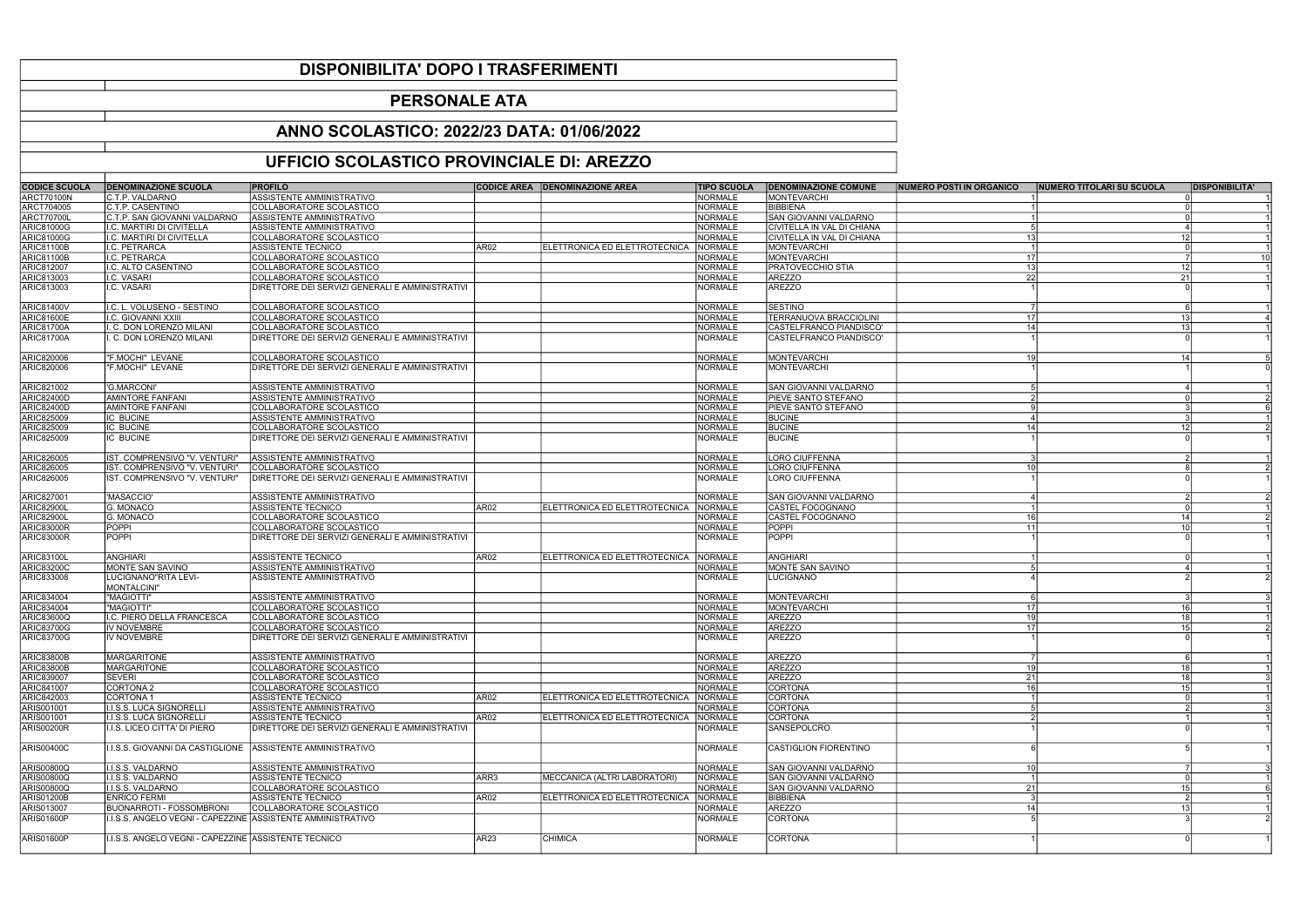| <b>CODICE SCUOLA</b>     | <b>DENOMINAZIONE SCUOLA</b>                                  | <b>PROFILO</b>                                  |                  | <b>CODICE AREA</b>   DENOMINAZIONE AREA | <b>TIPO SCUOLA</b> | <b>DENOMINAZIONE COMUNE</b> | <b>NUMERO POSTI IN ORGANICO</b> | <b>INUMERO TITOLARI SU SCUOLA</b> | <b>DISPONIBILITA'</b> |
|--------------------------|--------------------------------------------------------------|-------------------------------------------------|------------------|-----------------------------------------|--------------------|-----------------------------|---------------------------------|-----------------------------------|-----------------------|
| <b>ARCT70100N</b>        | C.T.P. VALDARNO                                              | ASSISTENTE AMMINISTRATIVO                       |                  |                                         | <b>NORMALE</b>     | <b>IMONTEVARCHI</b>         |                                 |                                   |                       |
| ARCT704005               | C.T.P. CASENTINO                                             | COLLABORATORE SCOLASTICO                        |                  |                                         | <b>NORMALE</b>     | BIBBIENA                    |                                 |                                   |                       |
| <b>ARCT70700L</b>        | C.T.P. SAN GIOVANNI VALDARNO                                 | ASSISTENTE AMMINISTRATIVO                       |                  |                                         | <b>NORMALE</b>     | SAN GIOVANNI VALDARNO       |                                 |                                   |                       |
| <b>ARIC81000G</b>        | I.C. MARTIRI DI CIVITELLA                                    | ASSISTENTE AMMINISTRATIVO                       |                  |                                         | <b>NORMALE</b>     | CIVITELLA IN VAL DI CHIANA  |                                 | - 5                               |                       |
| <b>ARIC81000G</b>        | I.C. MARTIRI DI CIVITELLA                                    | COLLABORATORE SCOLASTICO                        |                  |                                         | <b>NORMALE</b>     | CIVITELLA IN VAL DI CHIANA  | 13 <sup>l</sup>                 | 12                                |                       |
| ARIC81100B               | I.C. PETRARCA                                                | ASSISTENTE TECNICO                              | AR02             | ELETTRONICA ED ELETTROTECNICA           | <b>NORMALE</b>     | MONTEVARCHI                 |                                 |                                   |                       |
| <b>ARIC81100B</b>        | I.C. PETRARCA                                                | COLLABORATORE SCOLASTICO                        |                  |                                         | <b>NORMALE</b>     | MONTEVARCHI                 | 17                              |                                   |                       |
| ARIC812007               | I.C. ALTO CASENTINO                                          | COLLABORATORE SCOLASTICO                        |                  |                                         | <b>NORMALE</b>     | <b>PRATOVECCHIO STIA</b>    | 13                              | 12 <sup>1</sup>                   |                       |
| <b>ARIC813003</b>        | I.C. VASARI                                                  | COLLABORATORE SCOLASTICO                        |                  |                                         | <b>NORMALE</b>     | <b>AREZZO</b>               | 22                              | 21                                |                       |
| ARIC813003               | I.C. VASARI                                                  | DIRETTORE DEI SERVIZI GENERALI E AMMINISTRATIVI |                  |                                         | <b>NORMALE</b>     | AREZZO                      |                                 |                                   |                       |
|                          |                                                              |                                                 |                  |                                         |                    |                             |                                 |                                   |                       |
| <b>ARIC81400V</b>        | II.C. L. VOLUSENO - SESTINO                                  | COLLABORATORE SCOLASTICO                        |                  |                                         | <b>NORMALE</b>     | SESTINO                     |                                 | $\overline{7}$                    |                       |
| <b>ARIC81600E</b>        | I.C. GIOVANNI XXIII                                          | COLLABORATORE SCOLASTICO                        |                  |                                         | <b>NORMALE</b>     | TERRANUOVA BRACCIOLINI      | 17                              | 13                                |                       |
| <b>ARIC81700A</b>        | I. C. DON LORENZO MILANI                                     | COLLABORATORE SCOLASTICO                        |                  |                                         | <b>NORMALE</b>     | CASTELFRANCO PIANDISCO'     | 14                              | 13                                |                       |
| <b>ARIC81700A</b>        | I. C. DON LORENZO MILANI                                     | DIRETTORE DEI SERVIZI GENERALI E AMMINISTRATIVI |                  |                                         | <b>NORMALE</b>     | CASTELFRANCO PIANDISCO'     |                                 |                                   |                       |
|                          |                                                              |                                                 |                  |                                         |                    |                             |                                 |                                   |                       |
| ARIC820006               | "F.MOCHI" LEVANE                                             | COLLABORATORE SCOLASTICO                        |                  |                                         | <b>NORMALE</b>     | <b>MONTEVARCHI</b>          |                                 | 14                                |                       |
| ARIC820006               | "F.MOCHI" LEVANE                                             | DIRETTORE DEI SERVIZI GENERALI E AMMINISTRATIVI |                  |                                         | <b>NORMALE</b>     | MONTEVARCHI                 |                                 |                                   |                       |
|                          |                                                              |                                                 |                  |                                         |                    |                             |                                 |                                   |                       |
| ARIC821002               | 'G.MARCONI'                                                  | ASSISTENTE AMMINISTRATIVO                       |                  |                                         | <b>NORMALE</b>     | SAN GIOVANNI VALDARNO       |                                 |                                   |                       |
| <b>ARIC82400D</b>        | <b>AMINTORE FANFANI</b>                                      | <b>ASSISTENTE AMMINISTRATIVO</b>                |                  |                                         | <b>NORMALE</b>     | <b>IPIEVE SANTO STEFANO</b> |                                 | 2                                 |                       |
| ARIC82400D               | <b>AMINTORE FANFANI</b>                                      | COLLABORATORE SCOLASTICO                        |                  |                                         | <b>NORMALE</b>     | <b>PIEVE SANTO STEFANO</b>  |                                 |                                   |                       |
| ARIC825009               | <b>IC BUCINE</b>                                             | ASSISTENTE AMMINISTRATIVO                       |                  |                                         | <b>NORMALE</b>     | <b>BUCINE</b>               |                                 | $\overline{4}$                    |                       |
| ARIC825009               | <b>IC BUCINE</b>                                             | COLLABORATORE SCOLASTICO                        |                  |                                         | <b>NORMALE</b>     | <b>BUCINE</b>               | 14                              | 12                                |                       |
| ARIC825009               | <b>IC BUCINE</b>                                             | DIRETTORE DEI SERVIZI GENERALI E AMMINISTRATIVI |                  |                                         | <b>NORMALE</b>     | <b>BUCINE</b>               |                                 |                                   |                       |
|                          |                                                              |                                                 |                  |                                         |                    |                             |                                 |                                   |                       |
| ARIC826005               | IST. COMPRENSIVO "V. VENTURI"                                | ASSISTENTE AMMINISTRATIVO                       |                  |                                         | <b>NORMALE</b>     | <b>LORO CIUFFENNA</b>       |                                 |                                   |                       |
| ARIC826005               | IST. COMPRENSIVO "V. VENTURI"                                | COLLABORATORE SCOLASTICO                        |                  |                                         | <b>NORMALE</b>     | <b>LORO CIUFFENNA</b>       | 10 <sup>1</sup>                 |                                   |                       |
|                          |                                                              |                                                 |                  |                                         |                    |                             |                                 |                                   |                       |
| ARIC826005               | IST. COMPRENSIVO "V. VENTURI"                                | DIRETTORE DEI SERVIZI GENERALI E AMMINISTRATIVI |                  |                                         | <b>NORMALE</b>     | LORO CIUFFENNA              |                                 |                                   |                       |
| ARIC827001               | 'MASACCIO'                                                   | ASSISTENTE AMMINISTRATIVO                       |                  |                                         | <b>NORMALE</b>     | SAN GIOVANNI VALDARNO       |                                 |                                   |                       |
| <b>ARIC82900L</b>        | G. MONACO                                                    | ASSISTENTE TECNICO                              | AR02             | ELETTRONICA ED ELETTROTECNICA           | <b>NORMALE</b>     | CASTEL FOCOGNANO            |                                 |                                   |                       |
| <b>ARIC82900L</b>        | G. MONACO                                                    | COLLABORATORE SCOLASTICO                        |                  |                                         | <b>NORMALE</b>     | CASTEL FOCOGNANO            | 16                              | 14                                |                       |
| <b>ARIC83000R</b>        | <b>POPPI</b>                                                 | COLLABORATORE SCOLASTICO                        |                  |                                         | <b>NORMALE</b>     | POPPI                       | 11                              | 10 <sup>1</sup>                   |                       |
|                          | POPPI                                                        | DIRETTORE DEI SERVIZI GENERALI E AMMINISTRATIVI |                  |                                         | <b>NORMALE</b>     | POPPI                       |                                 |                                   |                       |
| <b>ARIC83000R</b>        |                                                              |                                                 |                  |                                         |                    |                             |                                 |                                   |                       |
| ARIC83100L               | ANGHIARI                                                     | ASSISTENTE TECNICO                              | AR02             | ELETTRONICA ED ELETTROTECNICA   NORMALE |                    | <b>ANGHIARI</b>             |                                 |                                   |                       |
| <b>ARIC83200C</b>        | MONTE SAN SAVINO                                             | ASSISTENTE AMMINISTRATIVO                       |                  |                                         | <b>NORMALE</b>     | MONTE SAN SAVINO            |                                 |                                   |                       |
| ARIC833008               | LUCIGNANO"RITA LEVI-                                         | ASSISTENTE AMMINISTRATIVO                       |                  |                                         | <b>NORMALE</b>     | <b>LUCIGNANO</b>            |                                 |                                   |                       |
|                          | MONTALCINI"                                                  |                                                 |                  |                                         |                    |                             |                                 |                                   |                       |
| ARIC834004               | "MAGIOTTI"                                                   | ASSISTENTE AMMINISTRATIVO                       |                  |                                         | <b>NORMALE</b>     | <b>MONTEVARCHI</b>          |                                 |                                   |                       |
| ARIC834004               | "MAGIOTTI"                                                   | COLLABORATORE SCOLASTICO                        |                  |                                         | <b>NORMALE</b>     | MONTEVARCHI                 | 17                              | 16 <sup>1</sup>                   |                       |
| <b>ARIC83600Q</b>        |                                                              | COLLABORATORE SCOLASTICO                        |                  |                                         | <b>NORMALE</b>     | <b>AREZZO</b>               | 19                              | 18 <sup>1</sup>                   |                       |
|                          | I.C. PIERO DELLA FRANCESCA                                   |                                                 |                  |                                         |                    |                             |                                 | 15 <sup>1</sup>                   |                       |
| <b>ARIC83700G</b>        | <b>IV NOVEMBRE</b><br><b>IV NOVEMBRE</b>                     | COLLABORATORE SCOLASTICO                        |                  |                                         | <b>NORMALE</b>     | <b>AREZZO</b>               | 17 <sup>1</sup>                 |                                   |                       |
| <b>ARIC83700G</b>        |                                                              | DIRETTORE DEI SERVIZI GENERALI E AMMINISTRATIVI |                  |                                         | <b>NORMALE</b>     | <b>AREZZO</b>               |                                 |                                   |                       |
| <b>ARIC83800B</b>        | <b>MARGARITONE</b>                                           | ASSISTENTE AMMINISTRATIVO                       |                  |                                         | <b>NORMALE</b>     | <b>AREZZO</b>               |                                 |                                   |                       |
| <b>ARIC83800B</b>        | <b>MARGARITONE</b>                                           | COLLABORATORE SCOLASTICO                        |                  |                                         | <b>NORMALE</b>     | <b>AREZZO</b>               | 19                              | 18 <sup>1</sup>                   |                       |
|                          | <b>SEVERI</b>                                                | COLLABORATORE SCOLASTICO                        |                  |                                         | <b>NORMALE</b>     | <b>AREZZO</b>               |                                 | -18 I                             |                       |
| ARIC839007<br>ARIC841007 | CORTONA 2                                                    | COLLABORATORE SCOLASTICO                        |                  |                                         | <b>NORMALE</b>     | <b>CORTONA</b>              | 21<br>16                        | 15 <sup>1</sup>                   |                       |
|                          |                                                              |                                                 |                  |                                         |                    |                             |                                 |                                   |                       |
| ARIC842003               | <b>CORTONA1</b>                                              | ASSISTENTE TECNICO                              | AR02             | ELETTRONICA ED ELETTROTECNICA INORMALE  |                    | <b>CORTONA</b>              |                                 | 5 <sup>1</sup>                    |                       |
| ARIS001001               | I.I.S.S. LUCA SIGNORELLI                                     | ASSISTENTE AMMINISTRATIVO                       |                  |                                         | <b>NORMALE</b>     | <b>CORTONA</b>              |                                 |                                   |                       |
| ARIS001001               | II.S.S. LUCA SIGNORELLI                                      | ASSISTENTE TECNICO                              | AR <sub>02</sub> | ELETTRONICA ED ELETTROTECNICA NORMALE   |                    | <b>CORTONA</b>              |                                 |                                   |                       |
| ARIS00200R               | I.I.S. LICEO CITTA' DI PIERO                                 | DIRETTORE DEI SERVIZI GENERALI E AMMINISTRATIVI |                  |                                         | <b>NORMALE</b>     | SANSEPOLCRO                 |                                 |                                   |                       |
|                          |                                                              | ASSISTENTE AMMINISTRATIVO                       |                  |                                         |                    | CASTIGLION FIORENTINO       |                                 |                                   |                       |
| <b>ARIS00400C</b>        | I.I.S.S. GIOVANNI DA CASTIGLIONE                             |                                                 |                  |                                         | <b>NORMALE</b>     |                             |                                 |                                   |                       |
| <b>ARIS00800Q</b>        | II.I.S.S. VALDARNO                                           | ASSISTENTE AMMINISTRATIVO                       |                  |                                         | <b>NORMALE</b>     | SAN GIOVANNI VALDARNO       | 10 <sup>1</sup>                 |                                   |                       |
| <b>ARIS00800Q</b>        | II.I.S.S. VALDARNO                                           | ASSISTENTE TECNICO                              | lARR3            | MECCANICA (ALTRI LABORATORI)            | <b>NORMALE</b>     | SAN GIOVANNI VALDARNO       |                                 |                                   |                       |
| <b>ARIS00800Q</b>        | II.I.S.S. VALDARNO                                           | COLLABORATORE SCOLASTICO                        |                  |                                         | <b>NORMALE</b>     | İSAN GIOVANNI VALDARNO      | 21                              | 15 <sup>1</sup>                   |                       |
|                          | <b>IENRICO FERMI</b>                                         | <b>ASSISTENTE TECNICO</b>                       | AR02             | ELETTRONICA ED ELETTROTECNICA NORMALE   |                    | BIBBIENA                    |                                 | $\overline{3}$                    |                       |
| <b>ARIS01200B</b>        |                                                              | COLLABORATORE SCOLASTICO                        |                  |                                         |                    |                             | 14                              | 13                                |                       |
| ARIS013007               | <b>BUONARROTI - FOSSOMBRONI</b>                              |                                                 |                  |                                         | <b>NORMALE</b>     | <b>AREZZO</b>               |                                 |                                   |                       |
| <b>ARIS01600P</b>        | I.I.S.S. ANGELO VEGNI - CAPEZZINE  ASSISTENTE AMMINISTRATIVO |                                                 |                  |                                         | <b>NORMALE</b>     | <b>CORTONA</b>              |                                 |                                   |                       |
|                          | I.I.S.S. ANGELO VEGNI - CAPEZZINE ASSISTENTE TECNICO         |                                                 | AR <sub>23</sub> | <b>CHIMICA</b>                          |                    | <b>CORTONA</b>              |                                 |                                   |                       |
| ARIS01600P               |                                                              |                                                 |                  |                                         | <b>NORMALE</b>     |                             |                                 |                                   |                       |
|                          |                                                              |                                                 |                  |                                         |                    |                             |                                 |                                   |                       |

## DISPONIBILITA' DOPO I TRASFERIMENTI

## PERSONALE ATA

## ANNO SCOLASTICO: 2022/23 DATA: 01/06/2022

## UFFICIO SCOLASTICO PROVINCIALE DI: AREZZO